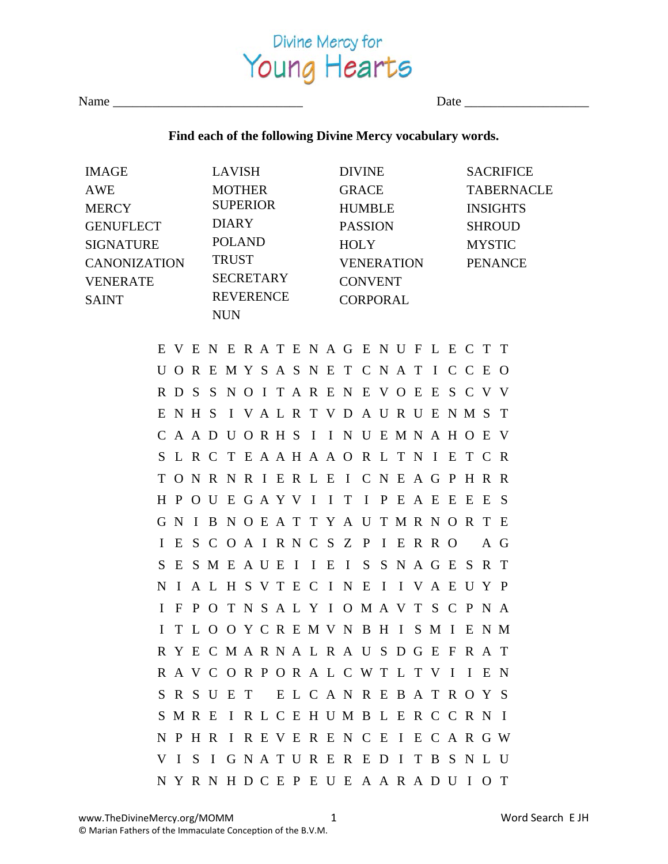

Name \_\_\_\_\_\_\_\_\_\_\_\_\_\_\_\_\_\_\_\_\_\_\_\_\_\_\_\_\_ Date \_\_\_\_\_\_\_\_\_\_\_\_\_\_\_\_\_\_\_

## **Find each of the following Divine Mercy vocabulary words.**

| IMAGE                           |  |                 |  |  | LAVISH           |             |  |                 |            | <b>DIVINE</b>                             |  |               |                   |  |                |  |     | <b>SACRIFICE</b> |  |  |
|---------------------------------|--|-----------------|--|--|------------------|-------------|--|-----------------|------------|-------------------------------------------|--|---------------|-------------------|--|----------------|--|-----|------------------|--|--|
| AWE                             |  | <b>MOTHER</b>   |  |  | GRACE            |             |  |                 |            |                                           |  |               | <b>TABERNACLE</b> |  |                |  |     |                  |  |  |
| MERCY                           |  | <b>SUPERIOR</b> |  |  | HUMBLE           |             |  |                 |            |                                           |  |               | <b>INSIGHTS</b>   |  |                |  |     |                  |  |  |
| GENUFLECT                       |  | DIARY           |  |  |                  | PASSION     |  |                 |            |                                           |  | <b>SHROUD</b> |                   |  |                |  |     |                  |  |  |
| <b>SIGNATURE</b>                |  | POLAND          |  |  |                  | <b>HOLY</b> |  |                 |            |                                           |  | <b>MYSTIC</b> |                   |  |                |  |     |                  |  |  |
| CANONIZATION                    |  |                 |  |  | <b>TRUST</b>     |             |  |                 | VENERATION |                                           |  |               |                   |  | <b>PENANCE</b> |  |     |                  |  |  |
| <b>VENERATE</b><br><b>SAINT</b> |  |                 |  |  | <b>SECRETARY</b> |             |  |                 |            | <b>CONVENT</b>                            |  |               |                   |  |                |  |     |                  |  |  |
|                                 |  |                 |  |  | <b>REVERENCE</b> |             |  | <b>CORPORAL</b> |            |                                           |  |               |                   |  |                |  |     |                  |  |  |
|                                 |  |                 |  |  | <b>NUN</b>       |             |  |                 |            |                                           |  |               |                   |  |                |  |     |                  |  |  |
|                                 |  |                 |  |  |                  |             |  |                 |            | EVENERATENAGENUFLECTT                     |  |               |                   |  |                |  |     |                  |  |  |
|                                 |  |                 |  |  |                  |             |  |                 |            | UOREMYSASNETCNATICCEO                     |  |               |                   |  |                |  |     |                  |  |  |
|                                 |  |                 |  |  |                  |             |  |                 |            | RDSSNOITARENEVOEESCVV                     |  |               |                   |  |                |  |     |                  |  |  |
|                                 |  |                 |  |  |                  |             |  |                 |            | ENH SI VALRTVDAURUENM ST                  |  |               |                   |  |                |  |     |                  |  |  |
|                                 |  |                 |  |  |                  |             |  |                 |            | CAADUORHSIINUEMNAHOEV                     |  |               |                   |  |                |  |     |                  |  |  |
|                                 |  |                 |  |  |                  |             |  |                 |            | S L R C T E A A H A A O R L T N I E T C R |  |               |                   |  |                |  |     |                  |  |  |
|                                 |  |                 |  |  |                  |             |  |                 |            | TONRNRIERLEICNEAGPHRR                     |  |               |                   |  |                |  |     |                  |  |  |
|                                 |  |                 |  |  |                  |             |  |                 |            | H P O U E G A Y V I I T I P E A E E E E S |  |               |                   |  |                |  |     |                  |  |  |
|                                 |  |                 |  |  |                  |             |  |                 |            | GNIBNOEATTYAUTMRNORTE                     |  |               |                   |  |                |  |     |                  |  |  |
|                                 |  |                 |  |  |                  |             |  |                 |            | I E S C O A I R N C S Z P I E R R O       |  |               |                   |  |                |  | A G |                  |  |  |
|                                 |  |                 |  |  |                  |             |  |                 |            | SESMEAUEIIEISSNAGESRT                     |  |               |                   |  |                |  |     |                  |  |  |
|                                 |  |                 |  |  |                  |             |  |                 |            | NIAL HSVTECINEIIVAEUYP                    |  |               |                   |  |                |  |     |                  |  |  |
|                                 |  |                 |  |  |                  |             |  |                 |            | I F P O T N S A L Y I O M A V T S C P N A |  |               |                   |  |                |  |     |                  |  |  |
|                                 |  |                 |  |  |                  |             |  |                 |            | I T L O O Y C R E M V N B H I S M I E N M |  |               |                   |  |                |  |     |                  |  |  |
|                                 |  |                 |  |  |                  |             |  |                 |            | R Y E C M A R N A L R A U S D G E F R A T |  |               |                   |  |                |  |     |                  |  |  |
|                                 |  |                 |  |  |                  |             |  |                 |            | RAVCORPORALCWTLTVIIEN                     |  |               |                   |  |                |  |     |                  |  |  |
|                                 |  |                 |  |  |                  |             |  |                 |            | SRSUET ELCANREBATROYS                     |  |               |                   |  |                |  |     |                  |  |  |
|                                 |  |                 |  |  |                  |             |  |                 |            | S M R E I R L C E H U M B L E R C C R N I |  |               |                   |  |                |  |     |                  |  |  |
|                                 |  |                 |  |  |                  |             |  |                 |            | N P H R I R E V E R E N C E I E C A R G W |  |               |                   |  |                |  |     |                  |  |  |
|                                 |  |                 |  |  |                  |             |  |                 |            | VISIGNATUREREDITBSNLU                     |  |               |                   |  |                |  |     |                  |  |  |
|                                 |  |                 |  |  |                  |             |  |                 |            | NYRNHDCEPEUE A A R A D U I O T            |  |               |                   |  |                |  |     |                  |  |  |